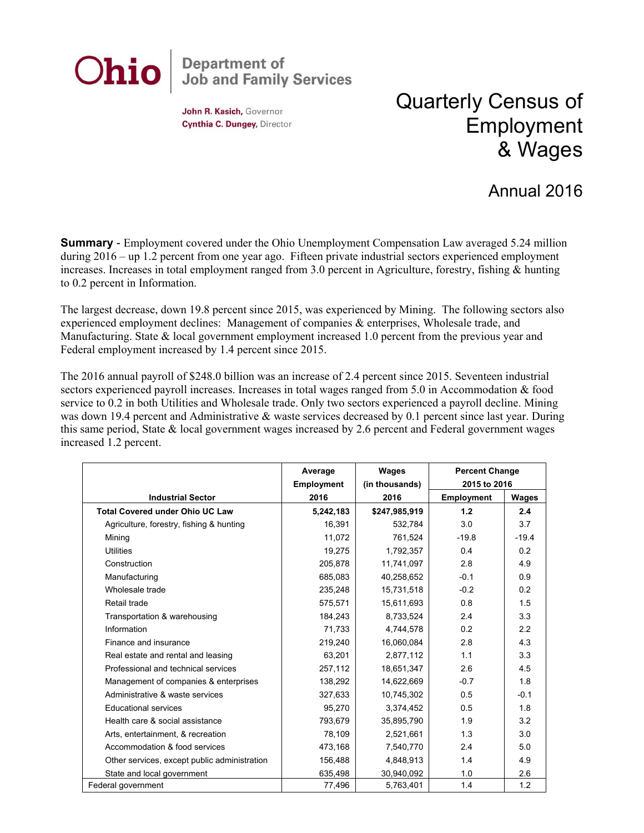## **Department of<br>Job and Family Services** Ohio

John R. Kasich, Governor Cynthia C. Dungey, Director

## Quarterly Census of Employment & Wages

## Annual 2016

**Summary** - Employment covered under the Ohio Unemployment Compensation Law averaged 5.24 million during 2016 – up 1.2 percent from one year ago. Fifteen private industrial sectors experienced employment increases. Increases in total employment ranged from 3.0 percent in Agriculture, forestry, fishing & hunting to 0.2 percent in Information.

The largest decrease, down 19.8 percent since 2015, was experienced by Mining. The following sectors also experienced employment declines: Management of companies & enterprises, Wholesale trade, and Manufacturing. State & local government employment increased 1.0 percent from the previous year and Federal employment increased by 1.4 percent since 2015.

The 2016 annual payroll of \$248.0 billion was an increase of 2.4 percent since 2015. Seventeen industrial sectors experienced payroll increases. Increases in total wages ranged from 5.0 in Accommodation & food service to 0.2 in both Utilities and Wholesale trade. Only two sectors experienced a payroll decline. Mining was down 19.4 percent and Administrative & waste services decreased by 0.1 percent since last year. During this same period, State & local government wages increased by 2.6 percent and Federal government wages increased 1.2 percent.

|                                              | Average           | Wages          | <b>Percent Change</b><br>2015 to 2016 |         |
|----------------------------------------------|-------------------|----------------|---------------------------------------|---------|
|                                              | <b>Employment</b> | (in thousands) |                                       |         |
| <b>Industrial Sector</b>                     | 2016              | 2016           | <b>Employment</b>                     | Wages   |
| <b>Total Covered under Ohio UC Law</b>       | 5,242,183         | \$247,985,919  | 1.2                                   | 2.4     |
| Agriculture, forestry, fishing & hunting     | 16,391            | 532,784        | 3.0                                   | 3.7     |
| Mining                                       | 11,072            | 761,524        | $-19.8$                               | $-19.4$ |
| <b>Utilities</b>                             | 19,275            | 1,792,357      | 0.4                                   | 0.2     |
| Construction                                 | 205,878           | 11,741,097     | 2.8                                   | 4.9     |
| Manufacturing                                | 685,083           | 40,258,652     | $-0.1$                                | 0.9     |
| Wholesale trade                              | 235,248           | 15,731,518     | $-0.2$                                | 0.2     |
| Retail trade                                 | 575.571           | 15,611,693     | 0.8                                   | 1.5     |
| Transportation & warehousing                 | 184,243           | 8,733,524      | 2.4                                   | 3.3     |
| Information                                  | 71,733            | 4,744,578      | 0.2                                   | 2.2     |
| Finance and insurance                        | 219,240           | 16,060,084     | 2.8                                   | 4.3     |
| Real estate and rental and leasing           | 63.201            | 2.877.112      | 1.1                                   | 3.3     |
| Professional and technical services          | 257,112           | 18,651,347     | 2.6                                   | 4.5     |
| Management of companies & enterprises        | 138,292           | 14,622,669     | $-0.7$                                | 1.8     |
| Administrative & waste services              | 327,633           | 10,745,302     | 0.5                                   | $-0.1$  |
| <b>Educational services</b>                  | 95,270            | 3,374,452      | 0.5                                   | 1.8     |
| Health care & social assistance              | 793,679           | 35,895,790     | 1.9                                   | 3.2     |
| Arts, entertainment, & recreation            | 78,109            | 2,521,661      | 1.3                                   | 3.0     |
| Accommodation & food services                | 473,168           | 7,540,770      | 2.4                                   | 5.0     |
| Other services, except public administration | 156,488           | 4,848,913      | 1.4                                   | 4.9     |
| State and local government                   | 635,498           | 30,940,092     | 1.0                                   | 2.6     |
| Federal government                           | 77,496            | 5,763,401      | 1.4                                   | 1.2     |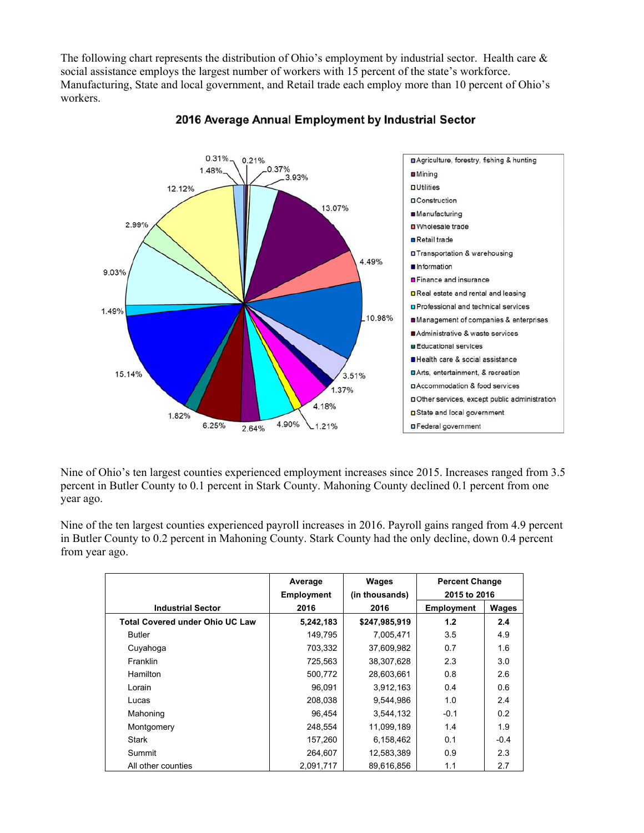The following chart represents the distribution of Ohio's employment by industrial sector. Health care & social assistance employs the largest number of workers with 15 percent of the state's workforce. Manufacturing, State and local government, and Retail trade each employ more than 10 percent of Ohio's workers.



## 2016 Average Annual Employment by Industrial Sector

Nine of Ohio's ten largest counties experienced employment increases since 2015. Increases ranged from 3.5 percent in Butler County to 0.1 percent in Stark County. Mahoning County declined 0.1 percent from one year ago.

Nine of the ten largest counties experienced payroll increases in 2016. Payroll gains ranged from 4.9 percent in Butler County to 0.2 percent in Mahoning County. Stark County had the only decline, down 0.4 percent from year ago.

|                                        | Average<br><b>Employment</b> | Wages<br>(in thousands) | <b>Percent Change</b><br>2015 to 2016 |        |
|----------------------------------------|------------------------------|-------------------------|---------------------------------------|--------|
| <b>Industrial Sector</b>               | 2016                         | 2016                    | <b>Employment</b>                     | Wages  |
| <b>Total Covered under Ohio UC Law</b> | 5,242,183                    | \$247,985,919           | 1.2                                   | 2.4    |
| <b>Butler</b>                          | 149,795                      | 7,005,471               | 3.5                                   | 4.9    |
| Cuyahoga                               | 703,332                      | 37,609,982              | 0.7                                   | 1.6    |
| <b>Franklin</b>                        | 725,563                      | 38,307,628              | 2.3                                   | 3.0    |
| <b>Hamilton</b>                        | 500,772                      | 28,603,661              | 0.8                                   | 2.6    |
| Lorain                                 | 96.091                       | 3,912,163               | 0.4                                   | 0.6    |
| Lucas                                  | 208,038                      | 9,544,986               | 1.0                                   | 2.4    |
| Mahoning                               | 96.454                       | 3,544,132               | $-0.1$                                | 0.2    |
| Montgomery                             | 248,554                      | 11,099,189              | 1.4                                   | 1.9    |
| <b>Stark</b>                           | 157,260                      | 6,158,462               | 0.1                                   | $-0.4$ |
| Summit                                 | 264,607                      | 12,583,389              | 0.9                                   | 2.3    |
| All other counties                     | 2,091,717                    | 89,616,856              | 1.1                                   | 2.7    |